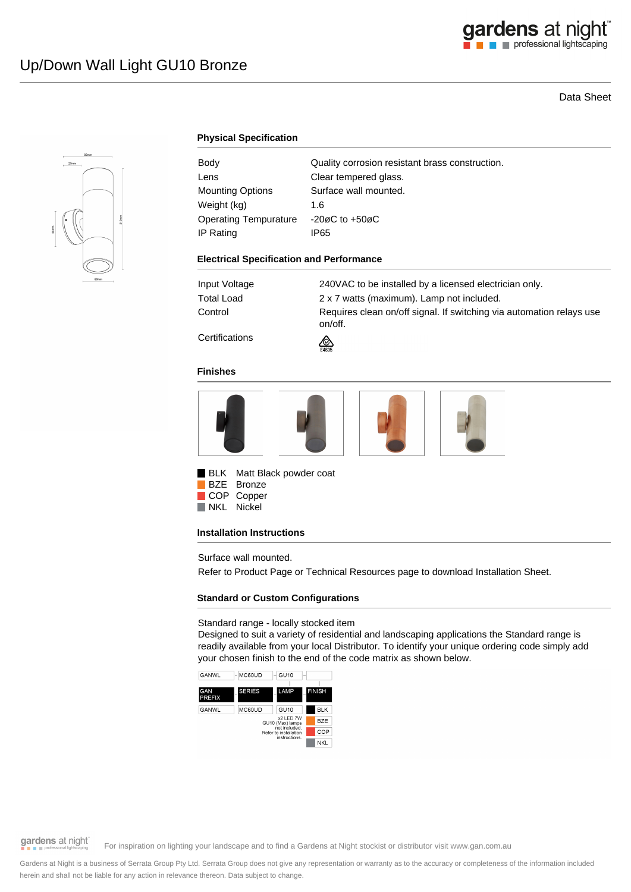# Data Sheet



# **Physical Specification**

| Body                         | Quality corrosion resistant brass construction. |
|------------------------------|-------------------------------------------------|
| Lens                         | Clear tempered glass.                           |
| <b>Mounting Options</b>      | Surface wall mounted.                           |
| Weight (kg)                  | 1.6                                             |
| <b>Operating Tempurature</b> | $-20\varnothing$ C to $+50\varnothing$ C        |
| IP Rating                    | IP65                                            |
|                              |                                                 |

#### **Electrical Specification and Performance**

Input Voltage 240VAC to be installed by a licensed electrician only. Total Load 2 x 7 watts (maximum). Lamp not included. Control **Requires clean on/off signal. If switching via automation relays use** on/off.

**Certifications** 



### **Finishes**



**BLK** Matt Black powder coat BZE Bronze

COP Copper NKL Nickel

### **Installation Instructions**

Surface wall mounted.

Refer to Product Page or Technical Resources page to download Installation Sheet.

### **Standard or Custom Configurations**

### Standard range - locally stocked item

Designed to suit a variety of residential and landscaping applications the Standard range is readily available from your local Distributor. To identify your unique ordering code simply add your chosen finish to the end of the code matrix as shown below.



gardens at night

For inspiration on lighting your landscape and to find a Gardens at Night stockist or distributor visit www.gan.com.au

Gardens at Night is a business of Serrata Group Pty Ltd. Serrata Group does not give any representation or warranty as to the accuracy or completeness of the information included herein and shall not be liable for any action in relevance thereon. Data subject to change.